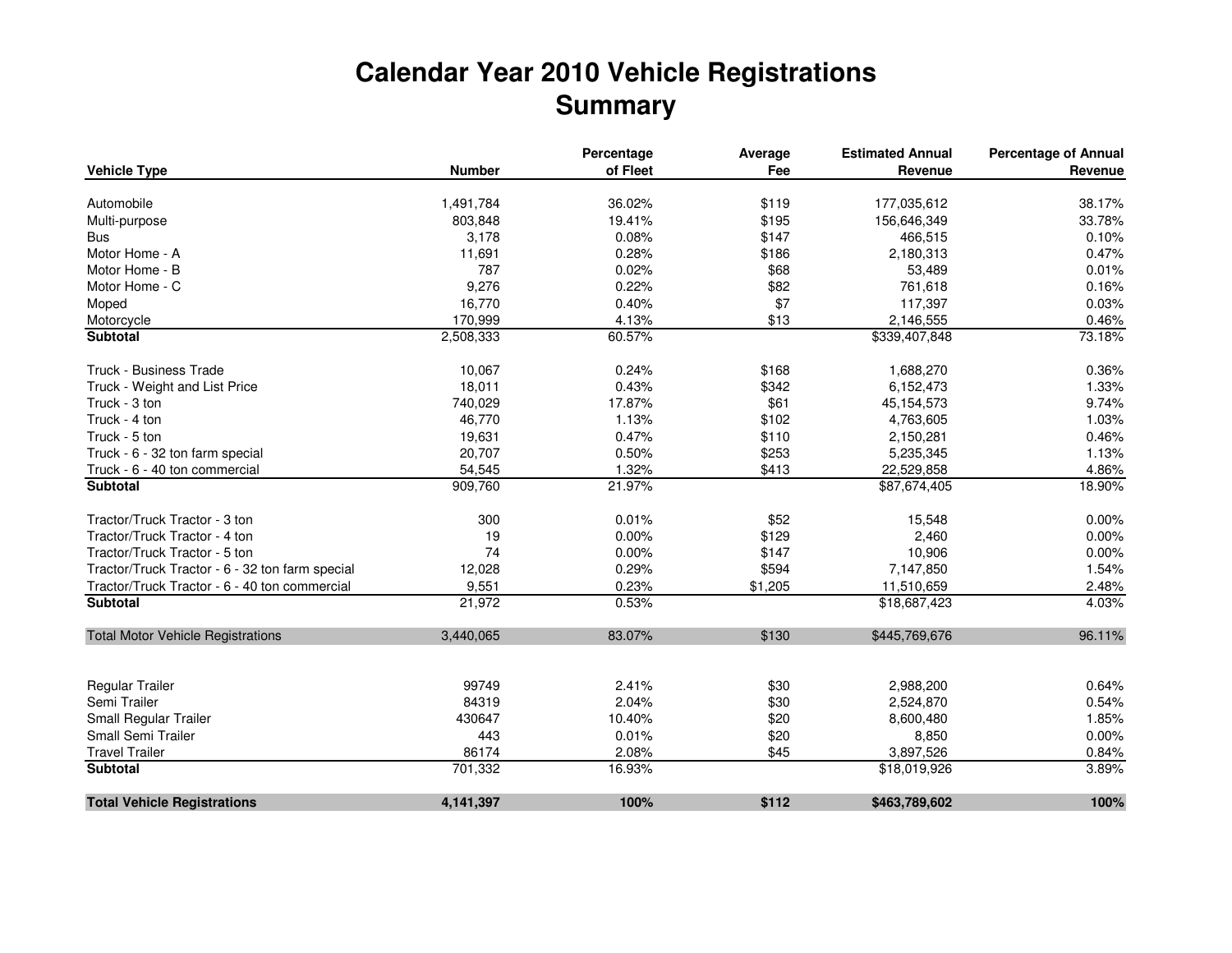## **Calendar Year 2010 Vehicle RegistrationsSummary**

|                                                 |               | Percentage | Average | <b>Estimated Annual</b> | <b>Percentage of Annual</b> |
|-------------------------------------------------|---------------|------------|---------|-------------------------|-----------------------------|
| <b>Vehicle Type</b>                             | <b>Number</b> | of Fleet   | Fee     | Revenue                 | Revenue                     |
| Automobile                                      | 1,491,784     | 36.02%     | \$119   | 177,035,612             | 38.17%                      |
| Multi-purpose                                   | 803,848       | 19.41%     | \$195   | 156,646,349             | 33.78%                      |
| <b>Bus</b>                                      | 3,178         | 0.08%      | \$147   | 466,515                 | 0.10%                       |
| Motor Home - A                                  | 11,691        | 0.28%      | \$186   | 2,180,313               | 0.47%                       |
| Motor Home - B                                  | 787           | 0.02%      | \$68    | 53,489                  | 0.01%                       |
| Motor Home - C                                  | 9,276         | 0.22%      | \$82    | 761,618                 | 0.16%                       |
| Moped                                           | 16,770        | 0.40%      | \$7     | 117,397                 | 0.03%                       |
| Motorcycle                                      | 170,999       | 4.13%      | \$13    | 2,146,555               | 0.46%                       |
| Subtotal                                        | 2,508,333     | 60.57%     |         | \$339,407,848           | 73.18%                      |
| Truck - Business Trade                          | 10,067        | 0.24%      | \$168   | 1,688,270               | 0.36%                       |
| Truck - Weight and List Price                   | 18,011        | 0.43%      | \$342   | 6,152,473               | 1.33%                       |
| Truck - 3 ton                                   | 740,029       | 17.87%     | \$61    | 45, 154, 573            | 9.74%                       |
| Truck - 4 ton                                   | 46,770        | 1.13%      | \$102   | 4,763,605               | 1.03%                       |
| Truck - 5 ton                                   | 19,631        | 0.47%      | \$110   | 2,150,281               | 0.46%                       |
| Truck - 6 - 32 ton farm special                 | 20,707        | 0.50%      | \$253   | 5,235,345               | 1.13%                       |
| Truck - 6 - 40 ton commercial                   | 54,545        | 1.32%      | \$413   | 22,529,858              | 4.86%                       |
| <b>Subtotal</b>                                 | 909,760       | 21.97%     |         | \$87,674,405            | 18.90%                      |
| Tractor/Truck Tractor - 3 ton                   | 300           | 0.01%      | \$52    | 15,548                  | 0.00%                       |
| Tractor/Truck Tractor - 4 ton                   | 19            | 0.00%      | \$129   | 2,460                   | 0.00%                       |
| Tractor/Truck Tractor - 5 ton                   | 74            | 0.00%      | \$147   | 10,906                  | 0.00%                       |
| Tractor/Truck Tractor - 6 - 32 ton farm special | 12,028        | 0.29%      | \$594   | 7,147,850               | 1.54%                       |
| Tractor/Truck Tractor - 6 - 40 ton commercial   | 9,551         | 0.23%      | \$1,205 | 11,510,659              | 2.48%                       |
| <b>Subtotal</b>                                 | 21,972        | 0.53%      |         | \$18,687,423            | 4.03%                       |
| <b>Total Motor Vehicle Registrations</b>        | 3,440,065     | 83.07%     | \$130   | \$445,769,676           | 96.11%                      |
|                                                 |               |            |         |                         |                             |
| Regular Trailer                                 | 99749         | 2.41%      | \$30    | 2,988,200               | 0.64%                       |
| Semi Trailer                                    | 84319         | 2.04%      | \$30    | 2,524,870               | 0.54%                       |
| Small Regular Trailer                           | 430647        | 10.40%     | \$20    | 8,600,480               | 1.85%                       |
| Small Semi Trailer                              | 443           | 0.01%      | \$20    | 8,850                   | 0.00%                       |
| <b>Travel Trailer</b>                           | 86174         | 2.08%      | \$45    | 3,897,526               | 0.84%                       |
| <b>Subtotal</b>                                 | 701,332       | 16.93%     |         | \$18,019,926            | 3.89%                       |
| <b>Total Vehicle Registrations</b>              | 4,141,397     | 100%       | \$112   | \$463,789,602           | 100%                        |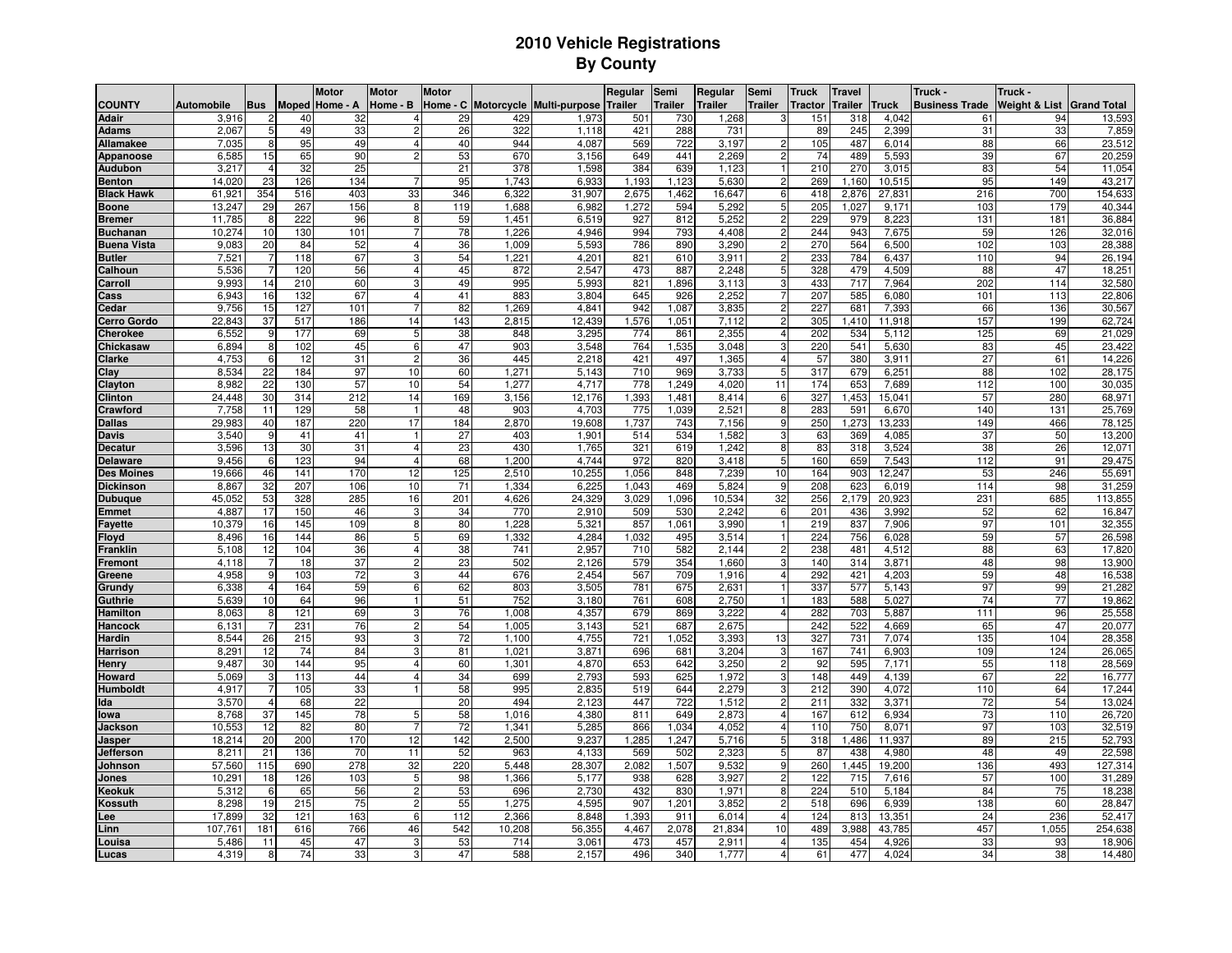## **2010 Vehicle RegistrationsBy County**

|                              |                   |                |            | <b>Motor</b>              | <b>Motor</b>   | <b>Motor</b> |              |                          | Regular        | Semi         | Regular        | Semi                                      | <b>Truck</b>   | <b>Travel</b>  |                | Truck -               | Truck -                              |                  |
|------------------------------|-------------------|----------------|------------|---------------------------|----------------|--------------|--------------|--------------------------|----------------|--------------|----------------|-------------------------------------------|----------------|----------------|----------------|-----------------------|--------------------------------------|------------------|
| <b>COUNTY</b>                | <b>Automobile</b> |                |            | <b>Bus</b> Moped Home - A | Home - B       | Home - C     |              | Motorcycle Multi-purpose | <b>Trailer</b> | Trailer      | <b>Trailer</b> | <b>Trailer</b>                            | <b>Tractor</b> | <b>Trailer</b> | <b>Truck</b>   | <b>Business Trade</b> | <b>Weight &amp; List Grand Total</b> |                  |
| <b>Adair</b>                 | 3,916             | $\overline{2}$ | 40         | 32                        |                | 29           | 429          | 1,973                    | 501            | 730          | 1,268          | 3                                         | 151            | 318            | 4,042          | 61                    | 94                                   | 13,593           |
| <b>Adams</b>                 | 2,067             | $\overline{5}$ | 49         | 33                        |                | 26           | 322          | 1,118                    | 421            | 288          | 731            |                                           | 89             | 245            | 2,399          | 31                    | 33                                   | 7,859            |
| Allamakee                    | 7,035             | 8              | 95         | 49                        | 4              | 40           | 944          | 4.087                    | 569            | 722          | 3,197          | $\overline{2}$                            | 105            | 487            | 6,014          | 88                    | 66                                   | 23,512           |
| Appanoose                    | 6,585             | 15             | 65         | 90                        | 2              | 53           | 670          | 3.156                    | 649            | 441          | 2,269          | $\overline{2}$                            | 74             | 489            | 5,593          | 39                    | 67                                   | 20,259           |
| <b>Audubon</b>               | 3.217             | $\overline{4}$ | 32         | 25                        |                | 21           | 378          | 1.598                    | 384            | 639          | 1.123          | $\mathbf{1}$                              | 210            | 270            | 3.015          | 83                    | 54                                   | 11,054           |
| <b>Benton</b>                | 14,020            | 23             | 126        | 134                       |                | 95           | 1,743        | 6,933                    | 1,193          | 1,123        | 5,630          | $\overline{2}$                            | 269            | 1,160          | 10,515         | 95                    | 149                                  | 43,217           |
| <b>Black Hawk</b>            | 61,921            | 354            | 516        | 403                       | 33             | 346          | 6,322        | 31,907                   | 2,675          | .462         | 16,647         | 6                                         | 418            | 2,876          | 27,831         | 216                   | 700                                  | 154,633          |
| <b>Boone</b>                 | 13,247            | 29             | 267        | 156                       | 8              | 119          | 1,688        | 6,982                    | 1,272          | 594          | 5,292          | 5 <sup>5</sup>                            | 205            | 1,02           | 9,171          | 103                   | 179                                  | 40,344           |
| <b>Bremer</b>                | 11,785            | 8              | 222        | 96                        | 8              | 59           | 1,451        | 6,519                    | 927            | 812          | 5,252          | $\overline{c}$                            | 229            | 979            | 8,223          | 131                   | 181                                  | 36,884           |
| <b>Buchanan</b>              | 10,274            | 10             | 130        | 101                       |                | 78           | 1,226        | 4,946                    | 994            | 793          | 4,408          | $\overline{2}$                            | 244            | 943            | 7,675          | 59                    | 126                                  | 32,016           |
| <b>Buena Vista</b>           | 9,083             | 20             | 84         | 52                        |                | 36           | 1,009        | 5,593                    | 786            | 890          | 3,290          | 2                                         | 270            | 564            | 6,500          | 102                   | 103                                  | 28,388           |
| <b>Butler</b>                | $7,52^{\circ}$    | 7              | 118        | 67                        |                | 54           | 1,221        | 4,201                    | 821            | 610          | 3,911          | $\overline{2}$                            | 233            | 784            | 6,437          | 110                   | 94                                   | 26,194           |
| Calhoun                      | 5,536             | $\overline{7}$ | 120        | 56                        |                | 45           | 872          | 2,547                    | 473            | 887          | 2,248          | 5                                         | 328            | 479            | 4,509          | 88                    | 47                                   | 18,251           |
| Carroll                      | 9,993             | 14             | 210        | 60                        |                | 49           | 995          | 5,993                    | 821            | 1,896        | 3,113          | 3<br>$\overline{7}$                       | 433            | 717            | 7,964          | 202                   | 114                                  | 32,580           |
| Cass                         | 6,943             | 16             | 132        | 67                        |                | 41           | 883          | 3,804                    | 645            | 926          | 2,252          |                                           | 207            | 585            | 6,080          | 101                   | 113                                  | 22,806           |
| Cedar                        | 9,756             | 15             | 127        | 101                       |                | 82           | 1,269        | 4,841                    | 942            | 1,087        | 3,835          | 2                                         | 227            | 681            | 7,393          | 66                    | 136                                  | 30,567           |
| <b>Cerro Gordo</b>           | 22,843            | 37             | 517<br>177 | 186                       | 14             | 143<br>38    | 2,815        | 12,439                   | 1,576<br>774   | 1,051        | 7,112          | $\overline{2}$<br>$\overline{\mathbf{4}}$ | 305            | 1,410          | 11,918         | 157                   | 199                                  | 62,724           |
| <b>Cherokee</b><br>Chickasaw | 6,552<br>6,894    | 9<br>8         | 102        | 69<br>45                  | 5<br>6         | 47           | 848<br>903   | 3,295<br>3,548           | 764            | 861<br>1,535 | 2,355<br>3,048 | 3                                         | 202<br>220     | 534<br>541     | 5,112<br>5,630 | 125<br>83             | 69<br>45                             | 21,029<br>23,422 |
| <b>Clarke</b>                | 4,753             | 6              | 12         | 31                        | $\mathfrak{p}$ | 36           | 445          | 2,218                    | 421            | 497          | 1,365          | $\overline{4}$                            | 57             | 380            | 3.911          | 27                    | 61                                   | 14,226           |
| Clay                         | 8,534             | 22             | 184        | 97                        | 10             | 60           | 1,271        | 5,143                    | 710            | 969          | 3,733          | $5\phantom{.0}$                           | 317            | 679            | 6,251          | 88                    | 102                                  | 28,175           |
| Clayton                      | 8,982             | 22             | 130        | 57                        | 10             | 54           | 1,277        | 4,717                    | 778            | 1,249        | 4,020          | 11                                        | 174            | 653            | 7,689          | 112                   | 100                                  | 30,035           |
| <b>Clinton</b>               | 24,448            | 30             | 314        | 212                       | 14             | 169          | 3,156        | 12,176                   | 1,393          | 1,481        | 8,414          | 6                                         | 327            | .453           | 15,041         | 57                    | 280                                  | 68,971           |
| Crawford                     | 7,758             | 11             | 129        | 58                        |                | 48           | 903          | 4,703                    | 775            | 1,039        | 2,521          | 8                                         | 283            | 591            | 6,670          | 140                   | 131                                  | 25,769           |
| <b>Dallas</b>                | 29,983            | 40             | 187        | 220                       | 17             | 184          | 2,870        | 19,608                   | 1,737          | 743          | 7,156          | 9                                         | 250            | ,273           | 13,233         | 149                   | 466                                  | 78,125           |
| <b>Davis</b>                 | 3,540             | 9              | 41         | 41                        |                | 27           | 403          | 1,901                    | 514            | 534          | 1,582          | 3 <sup>1</sup>                            | 63             | 369            | 4,085          | 37                    | 50                                   | 13,200           |
| <b>Decatur</b>               | 3,596             | 13             | 30         | $\overline{31}$           | 4              | 23           | 430          | 1,765                    | 321            | 619          | 1.242          | 8                                         | 83             | 318            | 3,524          | 38                    | 26                                   | 12,071           |
| <b>Delaware</b>              | 9.456             | 6              | 123        | 94                        | $\overline{4}$ | 68           | 1.200        | 4,744                    | 972            | 820          | 3.418          | 5                                         | 160            | 659            | 7.543          | 112                   | 91                                   | 29,475           |
| <b>Des Moines</b>            | 19,666            | 46             | 141        | 170                       | 12             | 125          | 2,510        | 10,255                   | 1,056          | 848          | 7,239          | 10                                        | 164            | 903            | 12,247         | 53                    | 246                                  | 55,691           |
| <b>Dickinson</b>             | 8,867             | 32             | 207        | 106                       | 10             | 71           | 1,334        | 6,225                    | 1,043          | 469          | 5,824          | 9                                         | 208            | 623            | 6,019          | 114                   | 98                                   | 31,259           |
| Dubuque                      | 45,052            | 53             | 328        | 285                       | 16             | 201          | 4,626        | 24,329                   | 3,029          | 1,096        | 10,534         | 32                                        | 256            | 2,179          | 20,92          | 231                   | 685                                  | 113,855          |
| :mmet                        | 4,887             | 17             | 150        | 46                        |                | 34           | 770          | 2,910                    | 509            | 530          | 2,242          | 6                                         | 201            | 436            | 3,992          | 52                    | 62                                   | 16,847           |
| <b>Fayette</b>               | 10,379            | 16             | 145        | 109                       | $\mathsf{R}$   | 80           | 1,228        | 5,321                    | 857            | 1,061        | 3,990          | $\mathbf{1}$                              | 219            | 837            | 7,906          | 97                    | 101                                  | 32,355           |
| Floyd                        | 8,496             | 16             | 144        | 86                        | 5              | 69           | 1,332        | 4,284                    | .032           | 495          | 3,514          | $\mathbf{1}$                              | 224            | 756            | 6,028          | 59                    | 57                                   | 26,598           |
| iranklin                     | 5,108             | 12             | 104        | 36                        | 4              | 38           | 741          | 2,957                    | 710            | 582          | 2,144          | $\overline{2}$                            | 238            | 481            | 4,512          | 88                    | 63                                   | 17,820           |
| <sup>:</sup> remont          | 4.118             |                | 18         | 37                        | 2              | 23           | 502          | 2.126                    | 579            | 354          | 1.660          | 3                                         | 140            | 314            | 3.871          | 48                    | 98                                   | 13,900           |
| Greene                       | 4,958             | 9              | 103        | 72                        |                | 44           | 676          | 2,454                    | 567            | 709          | 1,916          | $\overline{4}$                            | 292            | 421            | 4,203          | 59                    | 48                                   | 16,538           |
| Grundy                       | 6,338             | 4              | 164        | 59                        |                | 62           | 803          | 3,505                    | 781            | 675          | 2,631          |                                           | 337            | 577            | 5,143          | 97                    | 99                                   | 21,282           |
| Guthrie                      | 5.639<br>8,063    | 10<br>8        | 64<br>121  | 96<br>69                  |                | 51<br>76     | 752<br>1,008 | 3,180<br>4,357           | 761<br>679     | 608<br>869   | 2,750<br>3,222 | $\overline{4}$                            | 183<br>282     | 588<br>703     | 5,02<br>5,887  | 74<br>111             | 77<br>96                             | 19,862<br>25,558 |
| Hamilton<br>Hancock          | 6,131             |                | 231        | 76                        |                | 54           | 1,005        | 3,143                    | 521            | 687          | 2,675          |                                           | 242            | 522            | 4,669          | 65                    | 47                                   | 20,077           |
| Hardin                       | 8,544             | 26             | 215        | 93                        |                | 72           | 1,100        | 4,755                    | 721            | 1,052        | 3,393          | 13                                        | 327            | 731            | 7,074          | 135                   | 104                                  | 28,358           |
| Harrison                     | 8,29              | 12             | 74         | 84                        |                | 81           | 1.021        | 3.871                    | 696            | 681          | 3,204          | 3                                         | 167            | 741            | 6,903          | 109                   | 124                                  | 26,065           |
| Henry                        | 9,487             | 30             | 144        | 95                        | 4              | 60           | 1,301        | 4,870                    | 653            | 642          | 3,250          | $\overline{2}$                            | 92             | 595            | 7,171          | 55                    | 118                                  | 28,569           |
| Howard                       | 5,069             | 3              | 113        | 44                        |                | 34           | 699          | 2,793                    | 593            | 625          | 1,972          | 3                                         | 148            | 449            | 4,139          | 67                    | 22                                   | 16,777           |
| Humboldt                     | 4,917             | 7              | 105        | 33                        |                | 58           | 995          | 2,835                    | 519            | 644          | 2,279          | 3                                         | 212            | 390            | 4,072          | 110                   | 64                                   | 17,244           |
| Ida                          | 3,570             | $\overline{4}$ | 68         | 22                        |                | 20           | 494          | 2,123                    | 447            | 722          | 1,512          | $\overline{2}$                            | 211            | 332            | 3,371          | 72                    | 54                                   | 13,024           |
| lowa                         | 8,768             | 37             | 145        | 78                        |                | 58           | 1,016        | 4,380                    | 811            | 649          | 2,873          | $\overline{4}$                            | 167            | 612            | 6,934          | 73                    | 110                                  | 26,720           |
| Jackson                      | 10,553            | 12             | 82         | 80                        |                | 72           | 1,341        | 5,285                    | 866            | 1,034        | 4,052          | $\overline{4}$                            | 110            | 750            | 8,071          | 97                    | 103                                  | 32,519           |
| Jasper                       | 18,214            | 20             | 200        | 170                       | 12             | 142          | 2,500        | 9,237                    | .285           | 1,247        | 5,716          | $5\phantom{.0}$                           | 318            | 1,486          | 11,937         | 89                    | 215                                  | 52,793           |
| Jefferson                    | 8,211             | 21             | 136        | 70                        | 11             | 52           | 963          | 4,133                    | 569            | 502          | 2,323          | 5                                         | 87             | 438            | 4,980          | 48                    | 49                                   | 22,598           |
| Johnson                      | 57,560            | 115            | 690        | 278                       | 32             | 220          | 5,448        | 28,307                   | 2,082          | 1,507        | 9,532          | 9                                         | 260            | 1,445          | 19,200         | 136                   | 493                                  | 127,314          |
| Jones                        | 10,291            | 18             | 126        | 103                       | 5              | 98           | 1,366        | 5,177                    | 938            | 628          | 3,927          | $\overline{2}$                            | 122            | 715            | 7,616          | 57                    | 100                                  | 31,289           |
| Keokuk                       | 5,312             | 6              | 65         | 56                        |                | 53           | 696          | 2,730                    | 432            | 830          | 1,971          | 8                                         | 224            | 510            | 5,184          | 84                    | 75                                   | 18,238           |
| Kossuth                      | 8.298             | 19             | 215        | 75                        | 2              | 55           | 1.275        | 4.595                    | 907            | 1.201        | 3.852          | $\overline{2}$                            | 518            | 696            | 6.939          | 138                   | 60                                   | 28,847           |
| .ee                          | 17,899            | 32             | 121        | 163                       | 6              | 112          | 2,366        | 8,848                    | 1,393          | 911          | 6,014          | $\overline{4}$                            | 124            | 813            | 13,351         | 24                    | 236                                  | 52,417           |
| .inn                         | 107,761           | 181            | 616        | 766                       | 46             | 542          | 10,208       | 56,355                   | 4,467          | 2,078        | 21,834         | 10                                        | 489            | 3,988          | 43,785         | 457                   | 1,055                                | 254,638          |
| ouisa.                       | 5,486             | 11             | 45         | 47                        | 3              | 53           | 714          | 3,061                    | 473            | 457          | 2,911          | $\overline{4}$                            | 135            | 454            | 4,926          | 33                    | 93                                   | 18,906           |
| Lucas                        | 4,319             | 8              | 74         | 33                        |                | 47           | 588          | 2,157                    | 496            | 340          | 1,777          | $\overline{4}$                            | 61             | 477            | 4,024          | 34                    | 38                                   | 14,480           |